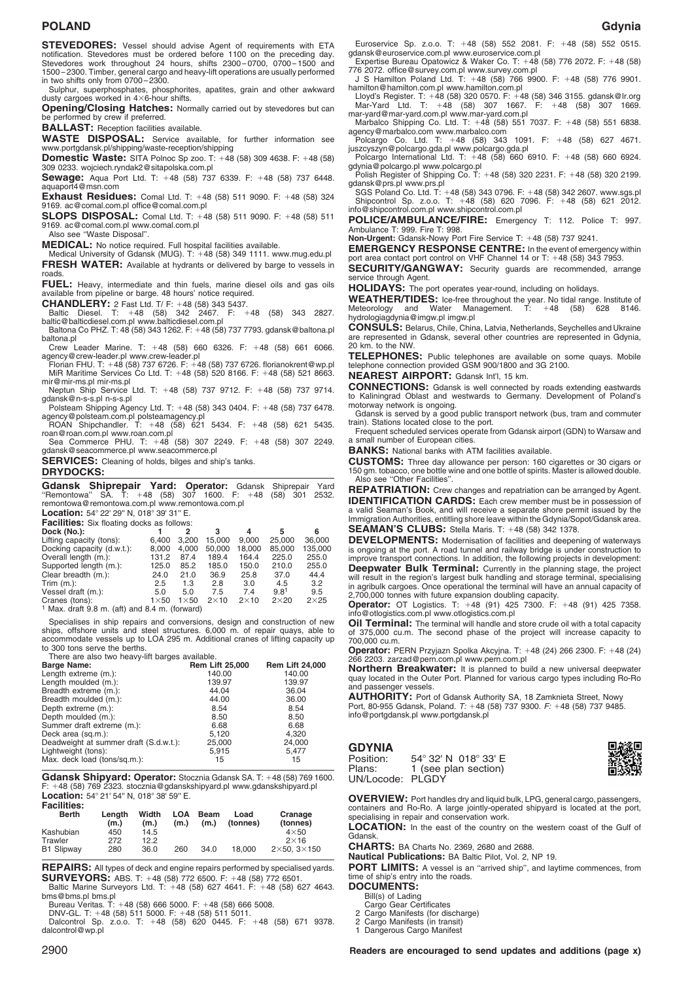# **POLAND Gdynia**

**STEVEDORES:** Vessel should advise Agent of requirements with ETA notification. Stevedores must be ordered before 1100 on the preceding day. Stevedores work throughout 24 hours, shifts 2300 – 0700, 0700 – 1500 and 1500 – 2300. Timber, general cargo and heavy-lift operations are usually performed in two shifts only from 0700 – 2300.

Sulphur, superphosphates, phosphorites, apatites, grain and other awkward<br>dusty cargoes worked in 4×6-hour shifts.

**Opening/Closing Hatches:** Normally carried out by stevedores but can be performed by crew if preferred.

**BALLAST:** Reception facilities available.

**WASTE DISPOSAL:** Service available, for further information see www.portgdansk.pl/shipping/waste-reception/shipping

**Domestic Waste:** SITA Polnoc Sp zoo. T: 48 (58) 309 4638. F: 48 (58) 309 0233. wojciech.ryndak2@sitapolska.com.pl

**Sewage:** Aqua Port Ltd. T: 48 (58) 737 6339. F: 48 (58) 737 6448. aquaport4@msn.com

**Exhaust Residues:** Comal Ltd. T: 48 (58) 511 9090. F: 48 (58) 324 9169. ac@comal.com.pl office@comal.com.pl

**SLOPS DISPOSAL:** Comal Ltd. T: +48 (58) 511 9090. F: +48 (58) 511 9169. ac@comal.com.pl www.comal.com.pl

Also see ''Waste Disposal''.

**MEDICAL:** No notice required. Full hospital facilities available. Medical University of Gdansk (MUG). T: 48 (58) 349 1111. www.mug.edu.pl **FRESH WATER:** Available at hydrants or delivered by barge to vessels in roads.

**FUEL:** Heavy, intermediate and thin fuels, marine diesel oils and gas oils available from pipeline or barge. 48 hours' notice required.

**CHANDLERY:** 2 Fast Ltd. T/ F: +48 (58) 343 5437.<br>Baltic Diesel. T: +48 (58) 342 2467. F: +48 (58) 343 2827. **CHANDLERY:** 2 Fast Ltd. T/ F: +48 (58) 343 5437.<br>Baltic Diesel. T: +48 (58) 342 2467. F: +48 (58) 343 2827.<br>baltic@balticdiesel.com.pl www.balticdiesel.com.pl

Baltona Co PHZ. T: 48 (58) 343 1262. F: 48 (58) 737 7793. gdansk@baltona.pl baltona.pl

Crew Leader Marine. T: 48 (58) 660 6326. F: 48 (58) 661 6066. agency@crew-leader.pl www.crew-leader.pl Florian FHU. T: 48 (58) 737 6726. F: 48 (58) 737 6726. florianokrent@wp.pl

MiR Maritime Services Co Ltd. T: 48 (58) 520 8166. F: 48 (58) 521 8663. mir@mir-ms.pl mir-ms.pl Neptun Ship Service Ltd. T: 48 (58) 737 9712. F: 48 (58) 737 9714.

gdansk@n-s-s.pl n-s-s.pl Polsteam Shipping Agency Ltd. T: 48 (58) 343 0404. F: 48 (58) 737 6478. agency@polsteam.com.pl polsteamagency.pl ROAN Shipchandler. T: 48 (58) 621 5434. F: 48 (58) 621 5435.

roan@roan.com.pl www.roan.com.pl Sea Commerce PHU. T: 48 (58) 307 2249. F: 48 (58) 307 2249.

gdansk@seacommerce.pl www.seacommerce.pl

**SERVICES:** Cleaning of holds, bilges and ship's tanks.

# **DRYDOCKS:**

**Gdansk Shiprepair Yard: Operator:** Gdansk Shiprepair Yard ''Remontowa'' SA. T: 48 (58) 307 1600. F: 48 (58) 301 2532. remontowa@remontowa.com.pl www.remontowa.com.pl

Location: 54° 22' 29" N, 018° 39' 31" E.

| <b>Facilities:</b> Six floating docks as follows: |             |             |             |             |                  |              |  |  |
|---------------------------------------------------|-------------|-------------|-------------|-------------|------------------|--------------|--|--|
| Dock (No.):                                       |             | 2           | з           | 4           | 5                | 6            |  |  |
| Lifting capacity (tons):                          | 6.400       | 3.200       | 15.000      | 9.000       | 25,000           | 36,000       |  |  |
| Docking capacity (d.w.t.):                        | 8.000       | 4,000       | 50,000      | 18,000      | 85,000           | 135,000      |  |  |
| Overall length (m.):                              | 131.2       | 87.4        | 189.4       | 164.4       | 225.0            | 255.0        |  |  |
| Supported length (m.):                            | 125.0       | 85.2        | 185.0       | 150.0       | 210.0            | 255.0        |  |  |
| Clear breadth (m.):                               | 24.0        | 21.0        | 36.9        | 25.8        | 37.0             | 44.4         |  |  |
| Trim $(m.):$                                      | 2.5         | 1.3         | 2.8         | 3.0         | 4.5              | 3.2          |  |  |
| Vessel draft (m.):                                | 5.0         | 5.0         | 7.5         | 7.4         | 9.8 <sup>1</sup> | 9.5          |  |  |
| Cranes (tons):                                    | $1\times50$ | $1\times50$ | $2\times10$ | $2\times10$ | $2\times 20$     | $2\times 25$ |  |  |
| $1$ Max. draft 9.8 m. (aft) and 8.4 m. (forward)  |             |             |             |             |                  |              |  |  |

Specialises in ship repairs and conversions, design and construction of new ships, offshore units and steel structures. 6,000 m. of repair quays, able to accommodate vessels up to LOA 295 m. Additional cranes of lifting capacity up to 300 tons serve the berths. There are also two heavy-lift barges available.

| <b>Rem Lift 25,000</b> | <b>Rem Lift 24,000</b> |
|------------------------|------------------------|
|                        |                        |
|                        | 140.00                 |
| 139.97                 | 139.97                 |
| 44.04                  | 36.04                  |
| 44.00                  | 36.00                  |
| 8.54                   | 8.54                   |
| 8.50                   | 8.50                   |
| 6.68                   | 6.68                   |
| 5.120                  | 4.320                  |
| 25,000                 | 24,000                 |
| 5.915                  | 5.477                  |
| 15                     | 15                     |
|                        | 140.00                 |

**.**<br>**Gdansk Shipyard: Operator:** Stocznia Gdansk SA. T: +48 (58) 769 1600.<br>F: +48 (58) 769 2323. stocznia@gdanskshipyard.pl www.gdanskshipyard.pl F: +48 (58) 769 2323. stocznia@gdanskshipyard.pl www.gdanskshipyard.pl<br>**Location:** 54° 21' 54" N, 018° 38' 59" E. **Facilities:**

| .<br><b>Berth</b> | Lenath<br>(m.) | Width<br>(m <sub>1</sub> ) | <b>LOA</b><br>(m.) | <b>Beam</b><br>(m <sub>1</sub> ) | Load<br>(tonnes) | Cranage<br>(tonnes)    |
|-------------------|----------------|----------------------------|--------------------|----------------------------------|------------------|------------------------|
| Kashubian         | 450            | 14.5                       |                    |                                  |                  | $4\times50$            |
| Trawler           | 272            | 12.2                       |                    |                                  |                  | $2\times16$            |
| <b>B1 Slipway</b> | 280            | 36.0                       | 260                | 34.0                             | 18.000           | $2\times50.3\times150$ |

**REPAIRS:** All types of deck and engine repairs performed by specialised yards. **REPAIRS:** All types of deck and engine repairs performed by specialised yards.<br>**SURVEYORS:** ABS. T: +48 (58) 772 6500. F: +48 (58) 772 6501.<br>Baltic Marine Surveyors Ltd. T: +48 (58) 627 4641. F: +48 (58) 627 4643.

bms@bms.pl bms.pl Bureau Veritas. T: 48 (58) 666 5000. F: 48 (58) 666 5008. DNV-GL. T: 48 (58) 511 5000. F: 48 (58) 511 5011. Dalcontrol Sp. z.o.o. T: 48 (58) 620 0445. F: 48 (58) 671 9378. dalcontrol@wp.pl

Euroservice Sp. z.o.o. T: 48 (58) 552 2081. F: 48 (58) 552 0515. gdansk@euroservice.com.pl www.euroservice.com.pl

Expertise Bureau Opatowicz & Waker Co. T: 48 (58) 776 2072. F: 48 (58) 776 2072. office@survey.com.pl www.survey.com.pl J S Hamilton Poland Ltd. T: 48 (58) 766 9900. F: 48 (58) 776 9901.

hamilton@hamilton.com.pl www.hamilton.com.pl Lloyd's Register. T: 48 (58) 320 0570. F: 48 (58) 346 3155. gdansk@lr.org Mar-Yard Ltd. T: 48 (58) 307 1667. F: 48 (58) 307 1669. mar-yard@mar-yard.com.pl www.mar-yard.com.pl

mar-yard@mar-yard.com.pl www.mar-yard.com.pl<br>Marbalco Shipping Co. Ltd. T:  $+48$  (58) 551 7037. F:  $+48$  (58) 551 6838.<br>agency@marbalco.com www.marbalco.com<br>Polcargo Co. Ltd. T:  $+48$  (58) 343 1091. F:  $+48$  (58) 627 4671

gdynia@polcargo.pl www.polcargo.pl Polish Register of Shipping Co. T: 48 (58) 320 2231. F: 48 (58) 320 2199.

gdansk@prs.pl www.prs.pl SGS Poland Co. Ltd. T: 48 (58) 343 0796. F: 48 (58) 342 2607. www.sgs.pl Shipcontrol Sp. z.o.o. T: 48 (58) 620 7096. F: 48 (58) 621 2012. info@shipcontrol.com.pl www.shipcontrol.com.pl

**POLICE/AMBULANCE/FIRE:** Emergency T: 112. Police T: 997. Ambulance T: 999. Fire T: 998.

**Non-Urgent:** Gdansk-Nowy Port Fire Service T: 48 (58) 737 9241.

**EMERGENCY RESPONSE CENTRE:** In the event of emergency within port area contact port control on VHF Channel 14 or T: +48 (58) 343 7953.

**SECURITY/GANGWAY:** Security guards are recommended, arrange service through Agent.

**HOLIDAYS:** The port operates year-round, including on holidays.

WEATHER/TIDES: Ice-free throughout the year. No tidal range. Institute of<br>Meteorology and Water Management. T: +48 (58) 628 8146. hydrologiagdynia@imgw.pl imgw.pl

**CONSULS:** Belarus, Chile, China, Latvia, Netherlands, Seychelles and Ukraine are represented in Gdansk, several other countries are represented in Gdynia, 20 km. to the NW.

**TELEPHONES:** Public telephones are available on some quays. Mobile telephone connection provided GSM 900/1800 and 3G 2100.

**NEAREST AIRPORT:** Gdansk Int'l, 15 km.

**CONNECTIONS:** Gdansk is well connected by roads extending eastwards to Kaliningrad Oblast and westwards to Germany. Development of Poland's motorway network is ongoing.

Gdansk is served by a good public transport network (bus, tram and commuter train). Stations located close to the port.

Frequent scheduled services operate from Gdansk airport (GDN) to Warsaw and a small number of European cities.

**BANKS:** National banks with ATM facilities available.

**CUSTOMS:** Three day allowance per person: 160 cigarettes or 30 cigars or 150 gm. tobacco, one bottle wine and one bottle of spirits. Master is allowed double. Also see ''Other Facilities''.

**REPATRIATION:** Crew changes and repatriation can be arranged by Agent. **IDENTIFICATION CARDS:** Each crew member must be in possession of a valid Seaman's Book, and will receive a separate shore permit issued by the Immigration Authorities, entitling shore leave within the Gdynia/Sopot/Gdansk area. **SEAMAN'S CLUBS:** Stella Maris. T: +48 (58) 342 1378

**DEVELOPMENTS:** Modernisation of facilities and deepening of waterways is ongoing at the port. A road tunnel and railway bridge is under construction to improve transport connections. In addition, the following projects in development: **Deepwater Bulk Terminal:** Currently in the planning stage, the project will result in the region's largest bulk handling and storage terminal, specialising in agribulk cargoes. Once operational the terminal will have an annual capacity of 2,700,000 tonnes with future expansion doubling capacity.

**Operator:** OT Logistics. T: 48 (91) 425 7300. F: 48 (91) 425 7358. info@otlogistics.com.pl www.otlogistics.com.pl

**Oil Terminal:** The terminal will handle and store crude oil with a total capacity to of 375,000 cu.m. The second phase of the project will increase capacity to 700,000 cu.m.

**Operator:** PERN Przyjazn Spolka Akcyjna. T: 48 (24) 266 2300. F: 48 (24) 266 2203. zarzad@pern.com.pl www.pern.com.pl

**Northern Breakwater:** It is planned to build a new universal deepwater quay located in the Outer Port. Planned for various cargo types including Ro-Ro and passenger vessels.

**AUTHORITY:** Port of Gdansk Authority SA, 18 Zamknieta Street, Nowy Port, 80-955 Gdansk, Poland. *T:* 48 (58) 737 9300. *F:* 48 (58) 737 9485. info@portgdansk.pl www.portgdansk.pl

# **GDYNIA**

Position:  $54^\circ 32' N$  018° 33′ E<br>Plans: 1 (see plan section) 1 (see plan section) UN/Locode: PLGDY



**OVERVIEW:** Port handles dry and liquid bulk, LPG, general cargo, passengers, containers and Ro-Ro. A large jointly-operated shipyard is located at the port, specialising in repair and conservation work.

**LOCATION:** In the east of the country on the western coast of the Gulf of Gdansk.

**CHARTS:** BA Charts No. 2369, 2680 and 2688.

**Nautical Publications:** BA Baltic Pilot, Vol. 2, NP 19.

**PORT LIMITS:** A vessel is an "arrived ship", and laytime commences, from time of ship's entry into the roads.

**DOCUMENTS:**

Bill(s) of Lading

Cargo Gear Certificates

2 Cargo Manifests (for discharge) 2 Cargo Manifests (in transit)

2 Cargo Manifests (in transit)<br>1 Dangerous Cargo Manifest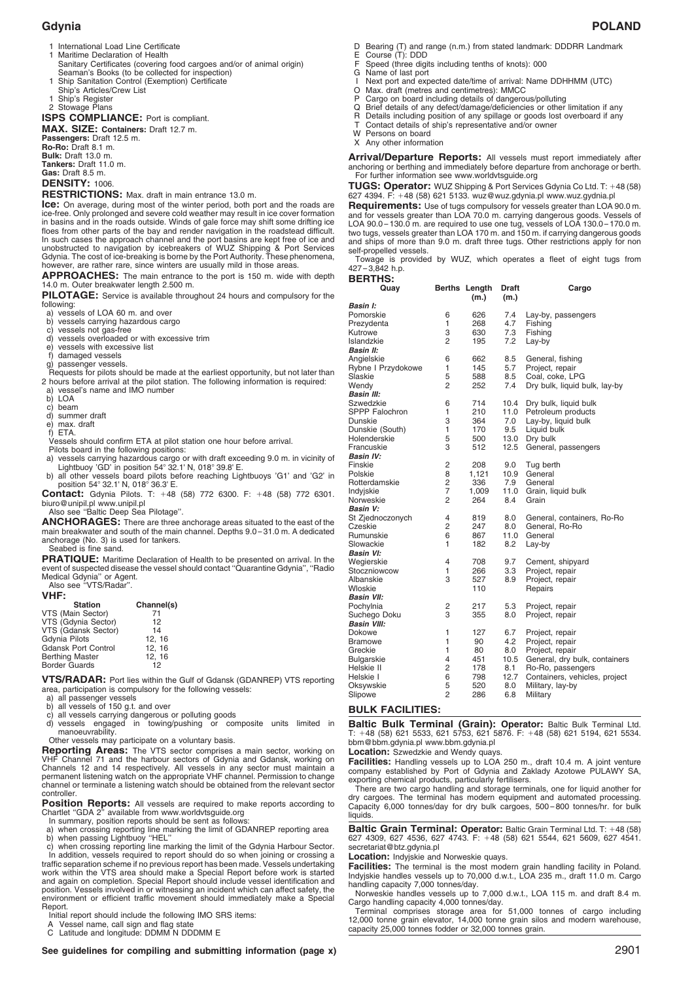- Maritime Declaration of Health Sanitary Certificates (covering food cargoes and/or of animal origin) Seaman's Books (to be collected for inspection)
- 1 Ship Sanitation Control (Exemption) Certificate
- Ship's Articles/Crew List
- **Ship's Articles**
- 2 Stowage Plans

**ISPS COMPLIANCE:** Port is compliant.

**MAX. SIZE: Containers:** Draft 12.7 m. **Passengers:** Draft 12.5 m.

**Ro-Ro:** Draft 8.1 m. **Bulk:** Draft 13.0 m. **Tankers:** Draft 11.0 m. **Gas:** Draft 8.5 m.

# **DENSITY:** 1006.

**RESTRICTIONS:** Max. draft in main entrance 13.0 m.

**Ice:** On average, during most of the winter period, both port and the roads are ice-free. Only prolonged and severe cold weather may result in ice cover formation in basins and in the roads outside. Winds of gale force may shift some drifting ice floes from other parts of the bay and render navigation in the roadstead difficult. In such cases the approach channel and the port basins are kept free of ice and unobstructed to navigation by icebreakers of WUZ Shipping & Port Services Gdynia. The cost of ice-breaking is borne by the Port Authority. These phenomena, however, are rather rare, since winters are usually mild in those areas.

**APPROACHES:** The main entrance to the port is 150 m. wide with depth 14.0 m. Outer breakwater length 2.500 m.

**PILOTAGE:** Service is available throughout 24 hours and compulsory for the following:

- a) vessels of LOA 60 m. and over
- 
- b) vessels carrying hazardous cargo c) vessels not gas-free d) vessels overloaded or with excessive trim
- e) vessels with excessive list
- f) damaged vessels
- g) passenger vessels.

Requests for pilots should be made at the earliest opportunity, but not later than 2 hours before arrival at the pilot station. The following information is required: a) vessel's name and IMO number

- b) LOA
- c) beam
- d) summer draft
- 
- e) max. draft f) ETA.
- Vessels should confirm ETA at pilot station one hour before arrival.
- Pilots board in the following positions:
- a) vessels carrying hazardous cargo or with draft exceeding 9.0 m. in vicinity of a) vessels carrying hazardous cargo or with draft exceeding 9.0 m. in vicinity of<br>Lightbuoy 'GD' in position 54° 32.1' N, 018° 39.8' E.<br>b) all other vessels board pilots before reaching Lightbuoys 'G1' and 'G2' in<br>position
- **Contact:** Gdynia Pilots. T: 48 (58) 772 6300. F: 48 (58) 772 6301.
- biuro@unipil.pl www.unipil.pl Also see ''Baltic Deep Sea Pilotage''.
- 

**ANCHORAGES:** There are three anchorage areas situated to the east of the main breakwater and south of the main channel. Depths 9.0 – 31.0 m. A dedicated anchorage (No. 3) is used for tankers. Seabed is fine sand.

**PRATIQUE:** Maritime Declaration of Health to be presented on arrival. In the event of suspected disease the vessel should contact "Quarantine Gdynia", "Radio Medical Gdynia" or Agent.<br>Medical Gdynia'' or Agent.<br>Also see "

**VHF:**

| <b>Station</b>             | Channel(s) |
|----------------------------|------------|
| VTS (Main Sector)          | 71         |
| VTS (Gdynia Sector)        | 12         |
| VTS (Gdansk Sector)        | 14         |
| <b>Gdynia Pilots</b>       | 12.16      |
| <b>Gdansk Port Control</b> | 12, 16     |
| <b>Berthing Master</b>     | 12, 16     |
| <b>Border Guards</b>       | 12         |

**VTS/RADAR:** Port lies within the Gulf of Gdansk (GDANREP) VTS reporting area, participation is compulsory for the following vessels: a) all passenger vessels

- 
- all vessels of 150 g.t. and over
- c) all vessels carrying dangerous or polluting goods d) vessels engaged in towing/pushing or composite units limited in

manoeuvrability.

Other vessels may participate on a voluntary basis.

**Reporting Areas:** The VTS sector comprises a main sector, working on<br>VHF Channel 71 and the harbour sectors of Gdynia and Gdansk, working on Channels 12 and 14 respectively. All vessels in any sector must maintain a permanent listening watch on the appropriate VHF channel. Permission to change channel or terminate a listening watch should be obtained from the relevant sector controller.

**Position Reports:** All vessels are required to make reports according to Chartlet "GDA 2" available from www.worldvtsguide.org

In summary, position reports should be sent as follows:

a) when crossing reporting line marking the limit of GDANREP reporting area b) when passing Lightbuoy ''HEL''

c) when crossing reporting line marking the limit of the Gdynia Harbour Sector. In addition, vessels required to report should do so when joining or crossing a traffic separation scheme if no previous report has been made.Vessels undertaking

work within the VTS area should make a Special Report before work is started and again on completion. Special Report should include vessel identification and position. Vessels involved in or witnessing an incident which can affect safety, the environment or efficient traffic movement should immediately make a Special Report.

Initial report should include the following IMO SRS items:

A Vessel name, call sign and flag state C Latitude and longitude: DDMM N DDDMM E

- E Course (T): DDD<br>F Speed (three digits including tenths of knots): 000<br>G Name of last port
- G Name of last port<br>I Next port and exp
- I Next port and expected date/time of arrival: Name DDHHMM (UTC)<br>O Max draft (metres and centimetres): MMCC
- Max. draft (metres and centimetres): MMCC
- P Cargo on board including details of dangerous/polluting<br>Q Brief details of any defect/damage/deficiencies or other
- Q Brief details of any defect/damage/deficiencies or other limitation if any<br>R Details including position of any spillage or goods lost overboard if any
- R Details including position of any spillage or goods lost overboard if any T Contact details of ship's representative and/or owner
- W Persons on board
- X Any other information

**Arrival/Departure Reports:** All vessels must report immediately after anchoring or berthing and immediately before departure from anchorage or berth. For further information see www.worldvtsguide.org

**TUGS: Operator:** WUZ Shipping & Port Services Gdynia Co Ltd. T: 48 (58) 627 4394. F: 48 (58) 621 5133. wuz@wuz.gdynia.pl www.wuz.gydnia.pl

**Requirements:** Use of tugs compulsory for vessels greater than LOA 90.0 m. and for vessels greater than LOA 70.0 m. carrying dangerous goods. Vessels of LOA 90.0 – 130.0 m. are required to use one tug, vessels of LOA 130.0 – 170.0 m. two tugs, vessels greater than LOA 170 m. and 150 m. if carrying dangerous goods and ships of more than 9.0 m. draft three tugs. Other restrictions apply for non self-propelled vessels.

Towage is provided by WUZ, which operates a fleet of eight tugs from  $427 - 3,842$  h.p. **BERTHS:**

| ----<br>Quay                |                | Berths Length<br>(m.) | Draft<br>(m.) | Cargo                         |  |  |
|-----------------------------|----------------|-----------------------|---------------|-------------------------------|--|--|
| Basin I:                    |                |                       |               |                               |  |  |
| Pomorskie                   | 6              | 626                   | 7.4           | Lay-by, passengers            |  |  |
| Prezydenta                  | 1              | 268                   | 4.7           | Fishing                       |  |  |
| Kutrowe                     | 3              | 630                   | 7.3           | Fishing                       |  |  |
| Islandzkie                  | $\overline{2}$ | 195                   | 7.2           | Lay-by                        |  |  |
| <b>Basin II:</b>            |                |                       |               |                               |  |  |
| Angielskie                  | 6              | 662                   | 8.5           | General, fishing              |  |  |
| Rybne I Przydokowe          | 1              | 145                   | 5.7           | Project, repair               |  |  |
| Slaskie                     | 5              | 588                   | 8.5           | Coal, coke, LPG               |  |  |
| Wendy                       | $\overline{2}$ | 252                   | 7.4           | Dry bulk, liquid bulk, lay-by |  |  |
| <b>Basin III:</b>           |                |                       |               |                               |  |  |
| Szwedzkie                   | 6              | 714                   | 10.4          | Dry bulk, liquid bulk         |  |  |
| SPPP Falochron              | 1              | 210                   | 11.0          | Petroleum products            |  |  |
| Dunskie                     | 3              | 364                   | 7.0           | Lay-by, liquid bulk           |  |  |
| Dunskie (South)             | 1              | 170                   | 9.5           | Liquid bulk                   |  |  |
| Holenderskie                | 5              | 500                   | 13.0          | Dry bulk                      |  |  |
| Francuskie                  | 3              | 512                   | 12.5          | General, passengers           |  |  |
| <b>Basin IV:</b><br>Finskie | $\overline{c}$ | 208                   |               |                               |  |  |
|                             | 8              |                       | 9.0           | Tug berth                     |  |  |
| Polskie<br>Rotterdamskie    | 2              | 1,121<br>336          | 10.9<br>7.9   | General<br>General            |  |  |
| Indyjskie                   | $\overline{7}$ | 1,009                 | 11.0          | Grain, liquid bulk            |  |  |
| Norweskie                   | 2              | 264                   | 8.4           | Grain                         |  |  |
| <b>Basin V:</b>             |                |                       |               |                               |  |  |
| St Zjednoczonych            | 4              | 819                   | 8.0           | General, containers, Ro-Ro    |  |  |
| Czeskie                     | 2              | 247                   | 8.0           | General, Ro-Ro                |  |  |
| Rumunskie                   | 6              | 867                   | 11.0          | General                       |  |  |
| Slowackie                   | 1              | 182                   | 8.2           | Lay-by                        |  |  |
| <b>Basin VI:</b>            |                |                       |               |                               |  |  |
| Wegierskie                  | 4              | 708                   | 9.7           | Cement, shipyard              |  |  |
| Stoczniowcow                | 1              | 266                   | 3.3           | Project, repair               |  |  |
| Albanskie                   | 3              | 527                   | 8.9           | Project, repair               |  |  |
| Wloskie                     |                | 110                   |               | Repairs                       |  |  |
| <b>Basin VII:</b>           |                |                       |               |                               |  |  |
| Pochylnia                   | 2              | 217                   | 5.3           | Project, repair               |  |  |
| Suchego Doku                | 3              | 355                   | 8.0           | Project, repair               |  |  |
| <b>Basin VIII:</b>          |                |                       |               |                               |  |  |
| Dokowe                      | 1              | 127                   | 6.7           | Project, repair               |  |  |
| Bramowe                     | 1              | 90                    | 4.2           | Project, repair               |  |  |
| Greckie                     | 1              | 80                    | 8.0           | Project, repair               |  |  |
| Bulgarskie                  | 4              | 451                   | 10.5          | General, dry bulk, containers |  |  |
| Helskie II                  | 2              | 178                   | 8.1           | Ro-Ro, passengers             |  |  |
| Helskie I                   | 6              | 798                   | 12.7          | Containers, vehicles, project |  |  |
| Oksywskie                   | 5              | 520                   | 8.0           | Military, lay-by              |  |  |
| Slipowe                     | $\overline{2}$ | 286                   | 6.8           | Military                      |  |  |

# **BULK FACILITIES:**

**Baltic Bulk Terminal (Grain): Operator:** Baltic Bulk Terminal Ltd.<br>T: +48 (58) 621 5533, 621 5753, 621 5876. F: +48 (58) 621 5194, 621 5534. bbm@bbm.gdynia.pl www.bbm.gdynia.pl

**Location:** Szwedzkie and Wendy quays.

**Facilities:** Handling vessels up to LOA 250 m., draft 10.4 m. A joint venture company established by Port of Gdynia and Zaklady Azotowe PULAWY SA, exporting chemical products, particularly fertilisers.

There are two cargo handling and storage terminals, one for liquid another for dry cargoes. The terminal has modern equipment and automated processing. Capacity 6,000 tonnes/day for dry bulk cargoes, 500 – 800 tonnes/hr. for bulk liquids.

nquius.<br>**Baltic Grain Terminal: Operator:** Baltic Grain Terminal Ltd. T: +48 (58)<br>627 4309, 627 4536, 627 4743. F: +48 (58) 621 5544, 621 5609, 627 4541. secretariat@btz.gdynia.pl

**Location:** Indyjskie and Norweskie quays.

**Facilities:** The terminal is the most modern grain handling facility in Poland. Indyjskie handles vessels up to 70,000 d.w.t., LOA 235 m., draft 11.0 m. Cargo handling capacity 7,000 tonnes/day. Norweskie handles vessels up to 7,000 d.w.t., LOA 115 m. and draft 8.4 m.

Cargo handling capacity 4,000 tonnes/day.

Terminal comprises storage area for 51,000 tonnes of cargo including 12,000 tonne grain elevator, 14,000 tonne grain silos and modern warehouse, capacity 25,000 tonnes fodder or 32,000 tonnes grain.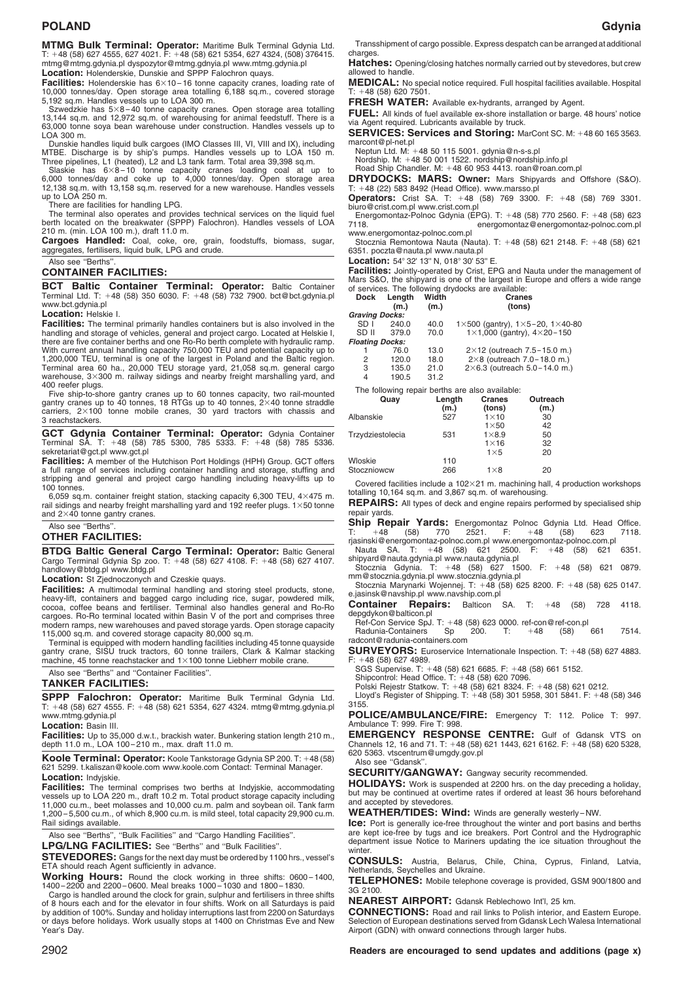# **POLAND Gdynia**

**MTMG Bulk Terminal: Operator:** Maritime Bulk Terminal Gdynia Ltd. T: 48 (58) 627 4555, 627 4021. F: 48 (58) 621 5354, 627 4324, (508) 376415. mtmg@mtmg.gdynia.pl dyspozytor@mtmg.gdnyia.pl www.mtmg.gdynia.pl **Location:** Holenderskie, Dunskie and SPPP Falochron quays.

**Facilities:** Holenderskie has  $6\times10-16$  tonne capacity cranes, loading rate of 10,000 tonnes/day. Open storage area totalling 6,188 sq.m., covered storage

5,192 sq.m. Handles vessels up to LOA 300 m. Szwedzkie has 5<sup>8</sup> – 40 tonne capacity cranes. Open storage area totalling 13,144 sq.m. and 12,972 sq.m. of warehousing for animal feedstuff. There is a 63,000 tonne soya bean warehouse under construction. Handles vessels up to LOA 300 m.

Dunskie handles liquid bulk cargoes (IMO Classes III, VI, VIII and IX), including

MTBE. Discharge is by ship's pumps. Handles vessels up to LOA 150 m.<br>Three pipelines, L1 (heated), L2 and L3 tank farm. Total area 39,398 sq.m.<br>Slaskie has 6×8-10 tonne capacity cranes loading coal at up to<br>6.000 tonnes/da up to LOA 250 m.

There are facilities for handling LPG.

The terminal also operates and provides technical services on the liquid fuel berth located on the breakwater (SPPP) Falochron). Handles vessels of LOA 210 m. (min. LOA 100 m.), draft 11.0 m.

**Cargoes Handled:** Coal, coke, ore, grain, foodstuffs, biomass, sugar, aggregates, fertilisers, liquid bulk, LPG and crude.

# Also see ''Berths''.

**CONTAINER FACILITIES:**

**BCT Baltic Container Terminal: Operator:** Baltic Container Terminal Ltd. T: 48 (58) 350 6030. F: 48 (58) 732 7900. bct@bct.gdynia.pl www.bct.gdynia.pl

### **Location:** Helskie I.

**Facilities:** The terminal primarily handles containers but is also involved in the handling and storage of vehicles, general and project cargo. Located at Helskie I, there are five container berths and one Ro-Ro berth complete with hydraulic ramp. With current annual handling capacity 750,000 TEU and potential capacity up to<br>1,200,000 TEU, terminal is one of the largest in Poland and the Baltic region.<br>Terminal area 60 ha., 20,000 TEU storage yard, 21,058 sq.m. gene 400 reefer plugs.

Five ship-to-shore gantry cranes up to 60 tonnes capacity, two rail-mounted gantry cranes up to 40 tonnes, 18 RTGs up to 40 tonnes,  $2\times40$  tonne straddle carriers,  $2\times100$  tonne mobile cranes, 30 yard tractors with chas carriers,  $2 \times 100$  tonne mobile cranes, 30 yard tractors with chassis and 3 reachstackers.

**GCT Gdynia Container Terminal: Operator:** Gdynia Container Terminal SA. T: 48 (58) 785 5300, 785 5333. F: 48 (58) 785 5336. sekretariat@gct.pl www.gct.pl

**Facilities:** A member of the Hutchison Port Holdings (HPH) Group. GCT offers a full range of services including container handling and storage, stuffing and stripping and general and project cargo handling including heavy-lifts up to 100 tonnes.

6,059 sq.m. container freight station, stacking capacity 6,300 TEU,  $4\times475$  m. 6,059 sq.m. container freight station, stacking capacity 6,300 TEU,  $4 \times 475$  m.<br>rail sidings and nearby freight marshalling yard and 192 reefer plugs. 1×50 tonne<br>and 2×40 tonne gantry cranes.

Also see ''Berths''.

# **OTHER FACILITIES:**

**BTDG Baltic General Cargo Terminal: Operator:** Baltic General Cargo Terminal Gdynia Sp zoo. T: 48 (58) 627 4108. F: 48 (58) 627 4107. Cargo Terminal Gdynia Sp zoo. T:  $+48$  (58) 627 4108. F:  $+48$  (58) 627 4107.<br>handlowy@btdg.pl www.btdg.pl

**Location:** St Zjednoczonych and Czeskie quays.

**Facilities:** A multimodal terminal handling and storing steel products, stone, heavy-lift, containers and bagged cargo including rice, sugar, powdered milk,<br>cocoa, coffee beans and fertiliser. Terminal also handles general and Ro-Ro<br>cargoes. Ro-Ro terminal located within Basin V of the port and compr modern ramps, new warehouses and paved storage yards. Open storage capacity

115,000 sq.m. and covered storage capacity 80,000 sq.m. Terminal is equipped with modern handling facilities including 45 tonne quayside gantry crane, SISU truck tractors, 60 tonne trailers, Clark & Kalmar stacking machine, 45 tonne reachstacker and  $1\times100$  tonne Liebherr mobile crane.

### Also see ''Berths'' and ''Container Facilities''. **TANKER FACILITIES:**

**SPPP Falochron: Operator:** Maritime Bulk Terminal Gdynia Ltd. T: 48 (58) 627 4555. F: 48 (58) 621 5354, 627 4324. mtmg@mtmg.gdynia.pl www.mtmg.gdynia.pl

**Location:** Basin III.

**Facilities:** Up to 35,000 d.w.t., brackish water. Bunkering station length 210 m., depth 11.0 m., LOA 100-210 m., max. draft 11.0 m

**Koole Terminal: Operator:** Koole Tankstorage Gdynia SP 200. T: 48 (58) 621 5299. t.kaliszan@koole.com www.koole.com Contact: Terminal Manager. **Location:** Indyjskie.

**Facilities:** The terminal comprises two berths at Indyjskie, accommodating vessels up to LOA 220 m., draft 10.2 m. Total product storage capacity including 11,000 cu.m., beet molasses and 10,000 cu.m. palm and soybean oil. Tank farm 1,200 – 5,500 cu.m., of which 8,900 cu.m. is mild steel, total capacity 29,900 cu.m. Rail sidings available.

Also see ''Berths'', ''Bulk Facilities'' and ''Cargo Handling Facilities''.

LPG/LNG FACILITIES: See "Berths" and "Bulk Facilities"

**STEVEDORES:** Gangs for the next day must be ordered by 1100 hrs., vessel's ETA should reach Agent sufficiently in advance.

**Working Hours:** Round the clock working in three shifts: 0600 – 1400, 1400 – 2200 and 2200 – 0600. Meal breaks 1000 – 1030 and 1800 – 1830.

Cargo is handled around the clock for grain, sulphur and fertilisers in three shifts of 8 hours each and for the elevator in four shifts. Work on all Saturdays is paid by addition of 100%. Sunday and holiday interruptions last from 2200 on Saturdays or days before holidays. Work usually stops at 1400 on Christmas Eve and New Year's Day.

Transshipment of cargo possible. Express despatch can be arranged at additional charges.

**Hatches:** Opening/closing hatches normally carried out by stevedores, but crew allowed to handle.

**MEDICAL:** No special notice required. Full hospital facilities available. Hospital<br>T: +48 (58) 620 7501.

**FRESH WATER:** Available ex-hydrants, arranged by Agent.

**FUEL:** All kinds of fuel available ex-shore installation or barge. 48 hours' notice via Agent required. Lubricants available by truck.

**SERVICES: Services and Storing: MarCont SC. M: +48 60 165 3563.** marcont@pl-net.pl Neptun Ltd. M: 48 50 115 5001. gdynia@n-s-s.pl

Neptun Ltd. M: +48 50 115 5001. gdynia@n-s-s.pl<br>Nordship. M: +48 50 001 1522. nordship@nordship.info.pl<br>Road Ship Chandler. M: +48 60 953 4413. roan@roan.com.pl

**DRYDOCKS: MARS: Owner:** Mars Shipyards and Offshore (S&O). T: 48 (22) 583 8492 (Head Office). www.marsso.pl

T: +48 (22) 583 8492 (Head Office). www.marsso.pl<br>**Operators:** Crist SA. T: +48 (58) 769 3300. F: +48 (58) 769 3301.<br>biuro@crist.com.pl www.crist.com.pl

Energomontaz-Polnoc Gdynia (EPG). T: 48 (58) 770 2560. F: 48 (58) 623 energomontaz@energomontaz-polnoc.com.pl

www.energomontaz-polnoc.com.pl Stocznia Remontowa Nauta (Nauta). T: 48 (58) 621 2148. F: 48 (58) 621 6351. poczta@nauta.pl www.nauta.pl

Location: 54° 32' 13" N, 018° 30' 53" E.

Wloskie 110<br>Stoczniowcw 266

**Facilities:** Jointly-operated by Crist, EPG and Nauta under the management of Mars S&O, the shipyard is one of the largest in Europe and offers a wide range of services. The following drydocks are available:

| Dock                   | Length | Width  | <b>Cranes</b>                                   |                                              |  |
|------------------------|--------|--------|-------------------------------------------------|----------------------------------------------|--|
|                        | (m.)   | (m.)   |                                                 | (tons)                                       |  |
| <b>Graving Docks:</b>  |        |        |                                                 |                                              |  |
| SD I                   | 240.0  | 40.0   | 1×500 (gantry), $1\times5-20$ , $1\times40-80$  |                                              |  |
| SD II                  | 379.0  | 70.0   |                                                 | 1 $\times$ 1,000 (gantry), 4 $\times$ 20-150 |  |
| <b>Floating Docks:</b> |        |        |                                                 |                                              |  |
|                        | 76.0   | 13.0   |                                                 | $2\times12$ (outreach 7.5 – 15.0 m.)         |  |
| 2                      | 120.0  | 18.0   |                                                 | $2\times8$ (outreach 7.0 – 18.0 m.)          |  |
| 3                      | 135.0  | 21.0   |                                                 | $2\times6.3$ (outreach 5.0-14.0 m.)          |  |
| 4                      | 190.5  | 31.2   |                                                 |                                              |  |
|                        |        |        | The following repair berths are also available: |                                              |  |
|                        | Quay   | Length | Cranes                                          | Outreach                                     |  |
|                        |        | (m.)   | (tons)                                          | (m.)                                         |  |
| Albanskie              |        | 527    | $1\times 10$                                    | 30                                           |  |
|                        |        |        | $1\times50$                                     | 42                                           |  |
| Trzydziestolecia       |        | 531    | $1\times8.9$                                    | 50                                           |  |
|                        |        |        | $1\times 16$                                    | 32                                           |  |
|                        |        |        | $1\times 5$                                     | 20                                           |  |
|                        |        |        |                                                 |                                              |  |

Stoczniowcw 266 18 20

 $266$   $1\times8$  20<br>Covered facilities include a 102 $\times21$  m. machining hall, 4 production workshops totalling 10,164 sq.m. and 3,867 sq.m. of warehousing.

**REPAIRS:** All types of deck and engine repairs performed by specialised ship repair yards.

**Ship Repair Yards:** Energomontaz Polnoc Gdynia Ltd. Head Office.<br>T: +48 (58) 770 2521. F: +48 (58) 623 7118. rjasinski@energomontaz-polnoc.com.pl www.energomontaz-polnoc.com.pl Nauta SA. T: 48 (58) 621 2500. F: 48 (58) 621 6351.

shipyard@nauta.gdynia.pl www.nauta.gdynia.pl Stocznia Gdynia. T: 48 (58) 627 1500. F: 48 (58) 621 0879.

mm@stocznia.gdynia.pl www.stocznia.gdynia.pl Stocznia Marynarki Wojennej. T: 48 (58) 625 8200. F: 48 (58) 625 0147.

e.jasinsk@navship.pl www.navship.com.pl

**Container Repairs:** Balticon SA. T: 48 (58) 728 4118.

depgdykon@balticon.pl Ref-Con Service SpJ. T: 48 (58) 623 0000. ref-con@ref-con.pl Radunia-Containers Sp 200. T: 48 (58) 661 7514. radcont@radunia-containers.com

**SURVEYORS:** Euroservice Internationale Inspection. T: +48 (58) 627 4883. **SURVEYORS:** Euroservice Internationale Inspection. T: +4:<br>F: +48 (58) 627 4989.<br>SGS Supervise. T: +48 (58) 621 6685. F: +48 (58) 661 5152.

SGS Supervise. T: +48 (58) 621 6685. F: +48 (58) 661 5152.<br>Shipcontrol: Head Office. T: +48 (58) 620 7096.<br>Polski Rejestr Statkow. T: +48 (58) 621 8324. F: +48 (58) 621 0212.<br>Lloyd's Register of Shipping. T: +48 (58) 301 5 3155.

**POLICE/AMBULANCE/FIRE:** Emergency T: 112. Police T: 997. Ambulance T: 999. Fire T: 998.

**EMERGENCY RESPONSE CENTRE:** Gulf of Gdansk VTS on Channels 12, 16 and 71. T: +48 (58) 621 1443, 621 6162. F: +48 (58) 620 5328, 620 5363. vtscentrum@umgdy.gov.pl

Also see ''Gdansk''.

**SECURITY/GANGWAY:** Gangway security recommended.

**HOLIDAYS:** Work is suspended at 2200 hrs. on the day preceding a holiday, but may be continued at overtime rates if ordered at least 36 hours beforehand and accepted by stevedores.

**WEATHER/TIDES: Wind:** Winds are generally westerly – NW.

**Ice:** Port is generally ice-free throughout the winter and port basins and berths are kept ice-free by tugs and ice breakers. Port Control and the Hydrographic department issue Notice to Mariners updating the ice situation throughout the winter.

**CONSULS:** Austria, Belarus, Chile, China, Cyprus, Finland, Latvia, Netherlands, Seychelles and Ukraine.

**TELEPHONES:** Mobile telephone coverage is provided, GSM 900/1800 and 3G 2100.

**NEAREST AIRPORT:** Gdansk Reblechowo Int'l, 25 km.

**CONNECTIONS:** Road and rail links to Polish interior, and Eastern Europe. Selection of European destinations served from Gdansk Lech Walesa International Airport (GDN) with onward connections through larger hubs.